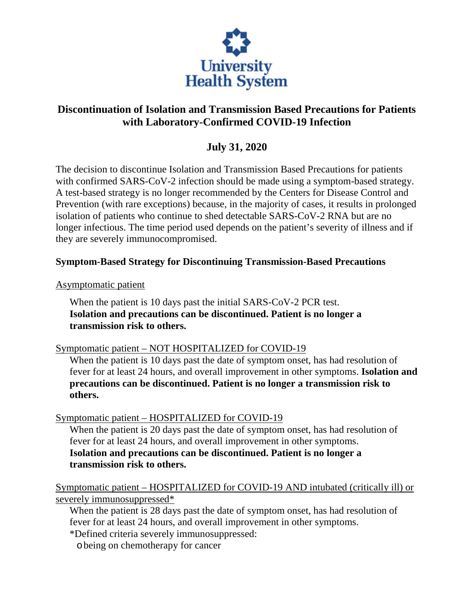

## **Discontinuation of Isolation and Transmission Based Precautions for Patients with Laboratory-Confirmed COVID-19 Infection**

## **July 31, 2020**

The decision to discontinue Isolation and Transmission Based Precautions for patients with confirmed SARS-CoV-2 infection should be made using a symptom-based strategy. A test-based strategy is no longer recommended by the Centers for Disease Control and Prevention (with rare exceptions) because, in the majority of cases, it results in prolonged isolation of patients who continue to shed detectable SARS-CoV-2 RNA but are no longer infectious. The time period used depends on the patient's severity of illness and if they are severely immunocompromised.

## **Symptom-Based Strategy for Discontinuing Transmission-Based Precautions**

Asymptomatic patient

When the patient is 10 days past the initial SARS-CoV-2 PCR test. **Isolation and precautions can be discontinued. Patient is no longer a transmission risk to others.** 

Symptomatic patient – NOT HOSPITALIZED for COVID-19

When the patient is 10 days past the date of symptom onset, has had resolution of fever for at least 24 hours, and overall improvement in other symptoms. **Isolation and precautions can be discontinued. Patient is no longer a transmission risk to others.** 

## Symptomatic patient – HOSPITALIZED for COVID-19

When the patient is 20 days past the date of symptom onset, has had resolution of fever for at least 24 hours, and overall improvement in other symptoms. **Isolation and precautions can be discontinued. Patient is no longer a transmission risk to others.** 

Symptomatic patient – HOSPITALIZED for COVID-19 AND intubated (critically ill) or severely immunosuppressed\*

When the patient is 28 days past the date of symptom onset, has had resolution of fever for at least 24 hours, and overall improvement in other symptoms.

\*Defined criteria severely immunosuppressed:

obeing on chemotherapy for cancer